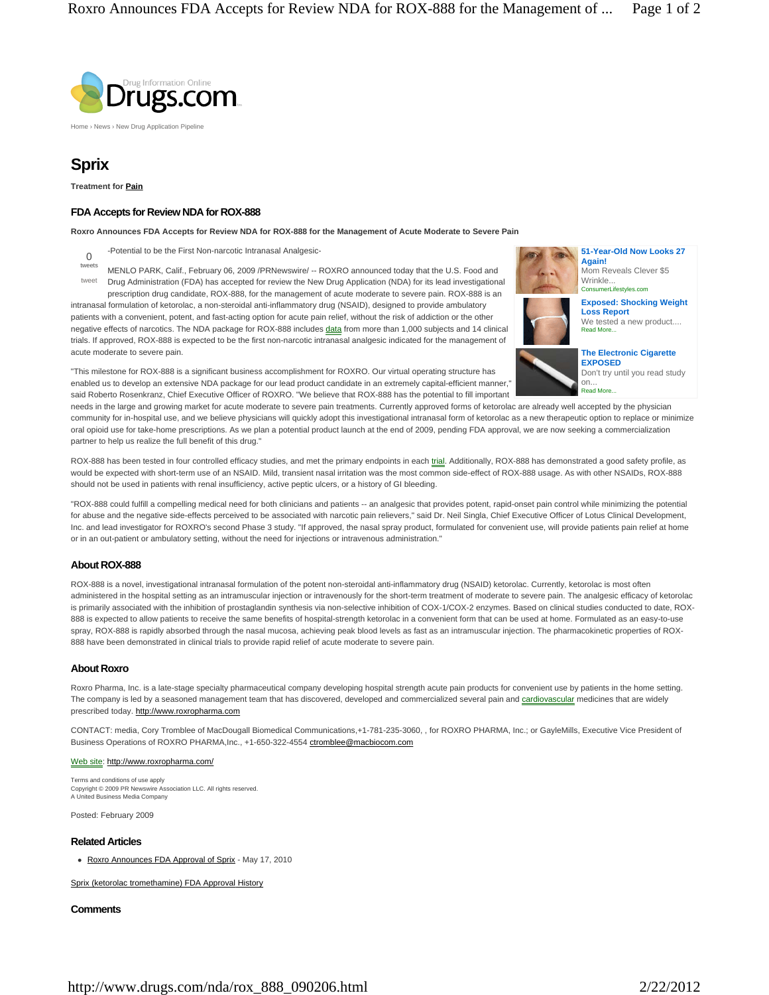

Home › News › New Drug Application Pipeline

# **Sprix**

**Treatment for Pain**

acute moderate to severe pain.

# **FDA Accepts for Review NDA for ROX-888**

**Roxro Announces FDA Accepts for Review NDA for ROX-888 for the Management of Acute Moderate to Severe Pain**

- -Potential to be the First Non-narcotic Intranasal Analgesic-0
- MENLO PARK, Calif., February 06, 2009 /PRNewswire/ -- ROXRO announced today that the U.S. Food and Drug Administration (FDA) has accepted for review the New Drug Application (NDA) for its lead investigational tweets tweet

prescription drug candidate, ROX-888, for the management of acute moderate to severe pain. ROX-888 is an intranasal formulation of ketorolac, a non-steroidal anti-inflammatory drug (NSAID), designed to provide ambulatory patients with a convenient, potent, and fast-acting option for acute pain relief, without the risk of addiction or the other negative effects of narcotics. The NDA package for ROX-888 includes data from more than 1,000 subjects and 14 clinical trials. If approved, ROX-888 is expected to be the first non-narcotic intranasal analgesic indicated for the management of



**51-Year-Old Now Looks 27 Again!** Mom Reveals Clever \$5

ConsumerLifestyles.com Wrinkle

**Exposed: Shocking Weight Loss Report**

Read More. We tested a new product....



Read More... **The Electronic Cigarette EXPOSED** Don't try until you read study on.

"This milestone for ROX-888 is a significant business accomplishment for ROXRO. Our virtual operating structure has enabled us to develop an extensive NDA package for our lead product candidate in an extremely capital-efficient manner," said Roberto Rosenkranz, Chief Executive Officer of ROXRO. "We believe that ROX-888 has the potential to fill important

needs in the large and growing market for acute moderate to severe pain treatments. Currently approved forms of ketorolac are already well accepted by the physician community for in-hospital use, and we believe physicians will quickly adopt this investigational intranasal form of ketorolac as a new therapeutic option to replace or minimize oral opioid use for take-home prescriptions. As we plan a potential product launch at the end of 2009, pending FDA approval, we are now seeking a commercialization partner to help us realize the full benefit of this drug."

ROX-888 has been tested in four controlled efficacy studies, and met the primary endpoints in each trial. Additionally, ROX-888 has demonstrated a good safety profile, as would be expected with short-term use of an NSAID. Mild, transient nasal irritation was the most common side-effect of ROX-888 usage. As with other NSAIDs, ROX-888 should not be used in patients with renal insufficiency, active peptic ulcers, or a history of GI bleeding.

"ROX-888 could fulfill a compelling medical need for both clinicians and patients -- an analgesic that provides potent, rapid-onset pain control while minimizing the potential for abuse and the negative side-effects perceived to be associated with narcotic pain relievers," said Dr. Neil Singla, Chief Executive Officer of Lotus Clinical Development, Inc. and lead investigator for ROXRO's second Phase 3 study. "If approved, the nasal spray product, formulated for convenient use, will provide patients pain relief at home or in an out-patient or ambulatory setting, without the need for injections or intravenous administration."

## **About ROX-888**

ROX-888 is a novel, investigational intranasal formulation of the potent non-steroidal anti-inflammatory drug (NSAID) ketorolac. Currently, ketorolac is most often administered in the hospital setting as an intramuscular injection or intravenously for the short-term treatment of moderate to severe pain. The analgesic efficacy of ketorolac is primarily associated with the inhibition of prostaglandin synthesis via non-selective inhibition of COX-1/COX-2 enzymes. Based on clinical studies conducted to date, ROX-888 is expected to allow patients to receive the same benefits of hospital-strength ketorolac in a convenient form that can be used at home. Formulated as an easy-to-use spray, ROX-888 is rapidly absorbed through the nasal mucosa, achieving peak blood levels as fast as an intramuscular injection. The pharmacokinetic properties of ROX-888 have been demonstrated in clinical trials to provide rapid relief of acute moderate to severe pain.

### **About Roxro**

Roxro Pharma, Inc. is a late-stage specialty pharmaceutical company developing hospital strength acute pain products for convenient use by patients in the home setting. The company is led by a seasoned management team that has discovered, developed and commercialized several pain and cardiovascular medicines that are widely prescribed today. http://www.roxropharma.com

CONTACT: media, Cory Tromblee of MacDougall Biomedical Communications,+1-781-235-3060, , for ROXRO PHARMA, Inc.; or GayleMills, Executive Vice President of Business Operations of ROXRO PHARMA, Inc., +1-650-322-4554 ctromblee@macbiocom.com

#### Web site: http://www.roxropharma.com/

Terms and conditions of use apply Copyright © 2009 PR Newswire Association LLC. All rights reserved. A United Business Media Company

Posted: February 2009

### **Related Articles**

• Roxro Announces FDA Approval of Sprix - May 17, 2010

Sprix (ketorolac tromethamine) FDA Approval History

### **Comments**